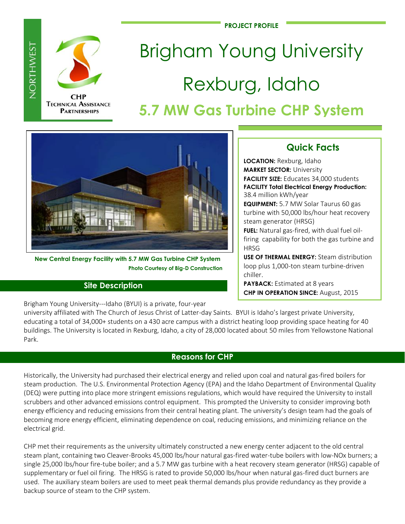**PROJECT PROFILE**



NORTHWEST

# Brigham Young University Rexburg, Idaho **5.7 MW Gas Turbine CHP System**



 **New Central Energy Facility with 5.7 MW Gas Turbine CHP System Photo Courtesy of Big-D Construction**

# **Site Description**

Brigham Young University---Idaho (BYUI) is a private, four-year

# **Quick Facts**

**LOCATION:** Rexburg, Idaho **MARKET SECTOR:** University **FACILITY SIZE:** Educates 34,000 students **FACILITY Total Electrical Energy Production:**  38.4 million kWh/year **EQUIPMENT:** 5.7 MW Solar Taurus 60 gas turbine with 50,000 lbs/hour heat recovery steam generator (HRSG) **FUEL:** Natural gas-fired, with dual fuel oilfiring capability for both the gas turbine and **HRSG** 

**USE OF THERMAL ENERGY:** Steam distribution loop plus 1,000-ton steam turbine-driven chiller.

**PAYBACK:** Estimated at 8 years **CHP IN OPERATION SINCE:** August, 2015

university affiliated with The Church of Jesus Christ of Latter-day Saints. BYUI is Idaho's largest private University, educating a total of 34,000+ students on a 430 acre campus with a district heating loop providing space heating for 40 buildings. The University is located in Rexburg, Idaho, a city of 28,000 located about 50 miles from Yellowstone National Park.

# **Reasons for CHP**

Historically, the University had purchased their electrical energy and relied upon coal and natural gas-fired boilers for steam production. The U.S. Environmental Protection Agency (EPA) and the Idaho Department of Environmental Quality (DEQ) were putting into place more stringent emissions regulations, which would have required the University to install scrubbers and other advanced emissions control equipment. This prompted the University to consider improving both energy efficiency and reducing emissions from their central heating plant. The university's design team had the goals of becoming more energy efficient, eliminating dependence on coal, reducing emissions, and minimizing reliance on the electrical grid.

CHP met their requirements as the university ultimately constructed a new energy center adjacent to the old central steam plant, containing two Cleaver-Brooks 45,000 lbs/hour natural gas-fired water-tube boilers with low-NOx burners; a single 25,000 lbs/hour fire-tube boiler; and a 5.7 MW gas turbine with a heat recovery steam generator (HRSG) capable of supplementary or fuel oil firing. The HRSG is rated to provide 50,000 lbs/hour when natural gas-fired duct burners are used. The auxiliary steam boilers are used to meet peak thermal demands plus provide redundancy as they provide a backup source of steam to the CHP system.